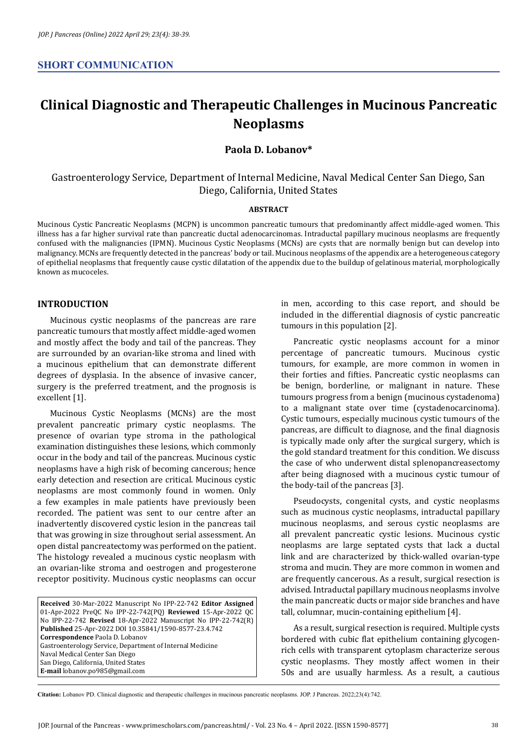# **Clinical Diagnostic and Therapeutic Challenges in Mucinous Pancreatic Neoplasms**

## **Paola D. Lobanov\***

## Gastroenterology Service, Department of Internal Medicine, Naval Medical Center San Diego, San Diego, California, United States

#### **ABSTRACT**

Mucinous Cystic Pancreatic Neoplasms (MCPN) is uncommon pancreatic tumours that predominantly affect middle-aged women. This illness has a far higher survival rate than pancreatic ductal adenocarcinomas. Intraductal papillary mucinous neoplasms are frequently confused with the malignancies (IPMN). Mucinous Cystic Neoplasms (MCNs) are cysts that are normally benign but can develop into malignancy. MCNs are frequently detected in the pancreas' body or tail. Mucinous neoplasms of the appendix are a heterogeneous category of epithelial neoplasms that frequently cause cystic dilatation of the appendix due to the buildup of gelatinous material, morphologically known as mucoceles.

### **INTRODUCTION**

Mucinous cystic neoplasms of the pancreas are rare pancreatic tumours that mostly affect middle-aged women and mostly affect the body and tail of the pancreas. They are surrounded by an ovarian-like stroma and lined with a mucinous epithelium that can demonstrate different degrees of dysplasia. In the absence of invasive cancer, surgery is the preferred treatment, and the prognosis is excellent [1].

Mucinous Cystic Neoplasms (MCNs) are the most prevalent pancreatic primary cystic neoplasms. The presence of ovarian type stroma in the pathological examination distinguishes these lesions, which commonly occur in the body and tail of the pancreas. Mucinous cystic neoplasms have a high risk of becoming cancerous; hence early detection and resection are critical. Mucinous cystic neoplasms are most commonly found in women. Only a few examples in male patients have previously been recorded. The patient was sent to our centre after an inadvertently discovered cystic lesion in the pancreas tail that was growing in size throughout serial assessment. An open distal pancreatectomy was performed on the patient. The histology revealed a mucinous cystic neoplasm with an ovarian-like stroma and oestrogen and progesterone receptor positivity. Mucinous cystic neoplasms can occur

**Received** 30-Mar-2022 Manuscript No IPP-22-742 **Editor Assigned**  01-Apr-2022 PreQC No IPP-22-742(PQ) **Reviewed** 15-Apr-2022 QC No IPP-22-742 **Revised** 18-Apr-2022 Manuscript No IPP-22-742(R) **Published** 25-Apr-2022 DOI 10.35841/1590-8577-23.4.742 **Correspondence** Paola D. Lobanov Gastroenterology Service, Department of Internal Medicine Naval Medical Center San Diego San Diego, California, United States **E-mail** lobanov.po985@gmail.com

in men, according to this case report, and should be included in the differential diagnosis of cystic pancreatic tumours in this population [2].

Pancreatic cystic neoplasms account for a minor percentage of pancreatic tumours. Mucinous cystic tumours, for example, are more common in women in their forties and fifties. Pancreatic cystic neoplasms can be benign, borderline, or malignant in nature. These tumours progress from a benign (mucinous cystadenoma) to a malignant state over time (cystadenocarcinoma). Cystic tumours, especially mucinous cystic tumours of the pancreas, are difficult to diagnose, and the final diagnosis is typically made only after the surgical surgery, which is the gold standard treatment for this condition. We discuss the case of who underwent distal splenopancreasectomy after being diagnosed with a mucinous cystic tumour of the body-tail of the pancreas [3].

Pseudocysts, congenital cysts, and cystic neoplasms such as mucinous cystic neoplasms, intraductal papillary mucinous neoplasms, and serous cystic neoplasms are all prevalent pancreatic cystic lesions. Mucinous cystic neoplasms are large septated cysts that lack a ductal link and are characterized by thick-walled ovarian-type stroma and mucin. They are more common in women and are frequently cancerous. As a result, surgical resection is advised. Intraductal papillary mucinous neoplasms involve the main pancreatic ducts or major side branches and have tall, columnar, mucin-containing epithelium [4].

As a result, surgical resection is required. Multiple cysts bordered with cubic flat epithelium containing glycogenrich cells with transparent cytoplasm characterize serous cystic neoplasms. They mostly affect women in their 50s and are usually harmless. As a result, a cautious

**Citation:** Lobanov PD. Clinical diagnostic and therapeutic challenges in mucinous pancreatic neoplasms. JOP. J Pancreas. 2022;23(4):742.